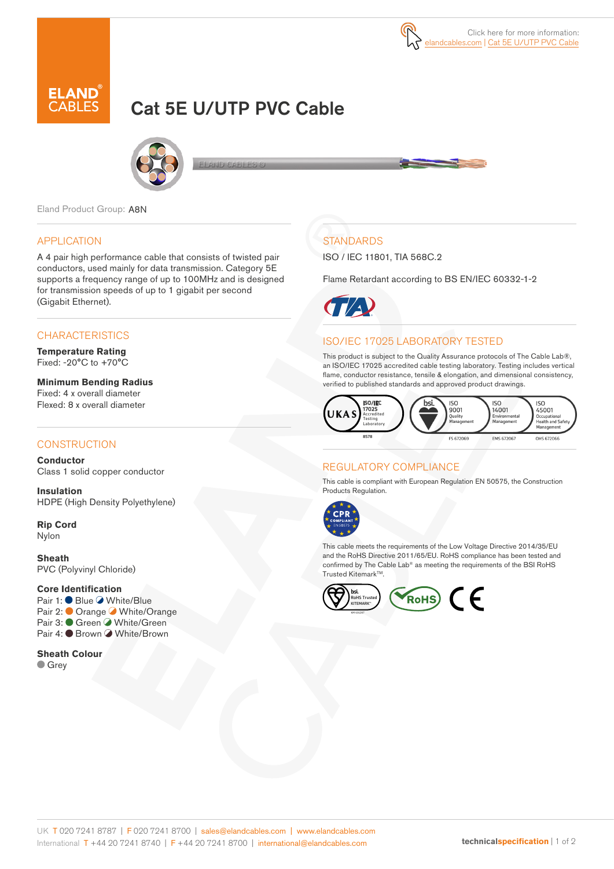# Cat 5E U/UTP PVC Cable



Eland Product Group: A8N

### APPLICATION

A 4 pair high performance cable that consists of twisted pair conductors, used mainly for data transmission. Category 5E supports a frequency range of up to 100MHz and is designed for transmission speeds of up to 1 gigabit per second (Gigabit Ethernet).

## **CHARACTERISTICS**

**Temperature Rating** Fixed: -20°C to +70°C

**Minimum Bending Radius**  Fixed: 4 x overall diameter Flexed: 8 x overall diameter

#### **CONSTRUCTION**

**Conductor** Class 1 solid copper conductor

**Insulation** HDPE (High Density Polyethylene)

**Rip Cord** Nylon

**Sheath** PVC (Polyvinyl Chloride)

#### **Core Identification**

Pair 1: ● Blue ● White/Blue Pair 2: Orange White/Orange Pair 3: ● Green ● White/Green Pair 4: ● Brown ● White/Brown

**Sheath Colour Grey** 

## **STANDARDS**

ISO / IEC 11801, TIA 568C.2

Flame Retardant according to BS EN/IEC 60332-1-2



## ISO/IEC 17025 LABORATORY TESTED

This product is subject to the Quality Assurance protocols of The Cable Lab®, an ISO/IEC 17025 accredited cable testing laboratory. Testing includes vertical flame, conductor resistance, tensile & elongation, and dimensional consistency, verified to published standards and approved product drawings.



## REGULATORY COMPLIANCE

This cable is compliant with European Regulation EN 50575, the Construction Products Regulation.



This cable meets the requirements of the Low Voltage Directive 2014/35/EU and the RoHS Directive 2011/65/EU. RoHS compliance has been tested and confirmed by The Cable Lab® as meeting the requirements of the BSI RoHS Trusted Kitemark<sup>™</sup>.